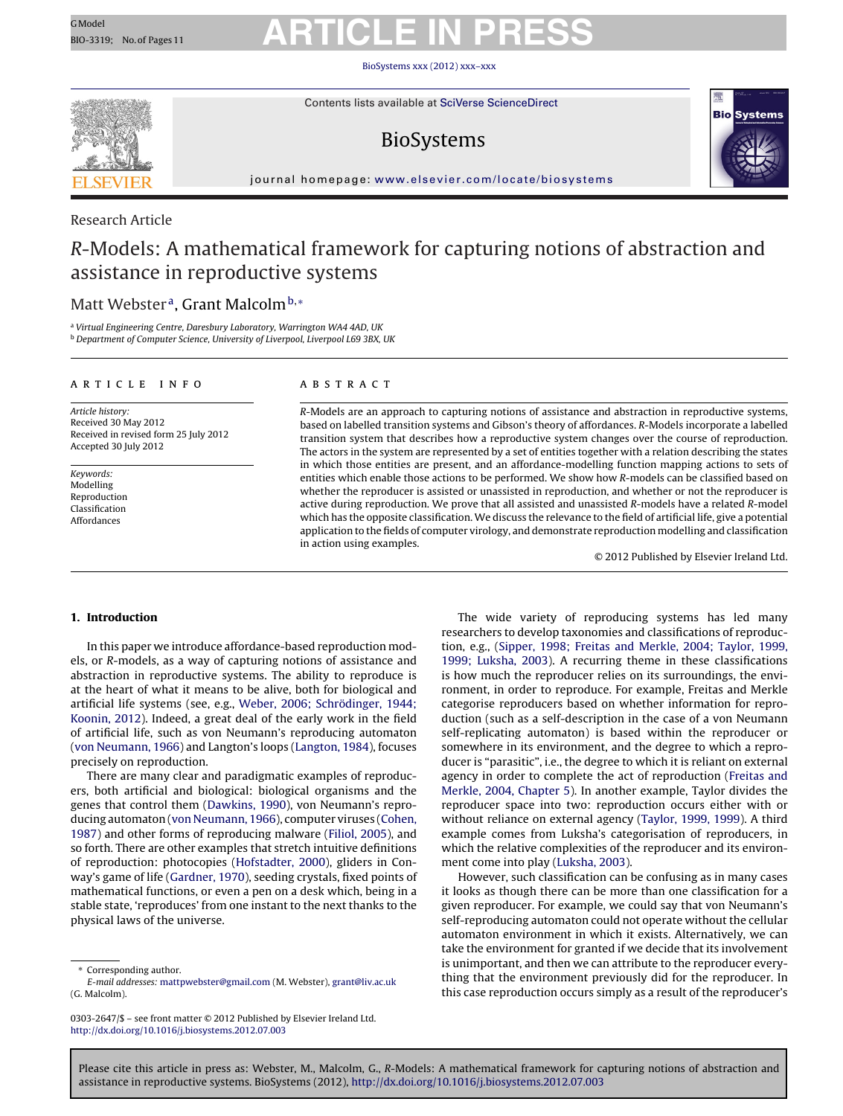### BioSystems [xxx \(2012\) xxx–xxx](dx.doi.org/10.1016/j.biosystems.2012.07.003)

<span id="page-0-0"></span>

Contents lists available at SciVerse [ScienceDirect](http://www.sciencedirect.com/science/journal/03032647)

# BioSystems



iournal homepage: [www.elsevier.com/locate/biosystems](http://www.elsevier.com/locate/biosystems)

# Research Article

# R-Models: A mathematical framework for capturing notions of abstraction and assistance in reproductive systems

# Matt Webster<sup>a</sup>, Grant Malcolm<sup>b,\*</sup>

<sup>a</sup> Virtual Engineering Centre, Daresbury Laboratory, Warrington WA4 4AD, UK b Department of Computer Science, University of Liverpool, Liverpool L69 3BX, UK

# a r t i c l e i n f o

Article history: Received 30 May 2012 Received in revised form 25 July 2012 Accepted 30 July 2012

Keywords: Modelling Reproduction Classification Affordances

### a b s t r a c t

R-Models are an approach to capturing notions of assistance and abstraction in reproductive systems, based on labelled transition systems and Gibson's theory of affordances. R-Models incorporate a labelled transition system that describes how a reproductive system changes over the course of reproduction. The actors in the system are represented by a set of entities together with a relation describing the states in which those entities are present, and an affordance-modelling function mapping actions to sets of entities which enable those actions to be performed. We show how R-models can be classified based on whether the reproducer is assisted or unassisted in reproduction, and whether or not the reproducer is active during reproduction. We prove that all assisted and unassisted R-models have a related R-model which has the opposite classification. We discuss the relevance to the field of artificial life, give a potential application to the fields of computer virology, and demonstrate reproduction modelling and classification in action using examples.

© 2012 Published by Elsevier Ireland Ltd.

# **1. Introduction**

In this paper we introduce affordance-based reproduction models, or R-models, as a way of capturing notions of assistance and abstraction in reproductive systems. The ability to reproduce is at the heart of what it means to be alive, both for biological and artificial life systems (see, e.g., [Weber,](#page-10-0) [2006;](#page-10-0) [Schrödinger,](#page-10-0) [1944;](#page-10-0) [Koonin,](#page-10-0) [2012\).](#page-10-0) Indeed, a great deal of the early work in the field of artificial life, such as von Neumann's reproducing automaton ([von](#page-10-0) [Neumann,](#page-10-0) [1966\)](#page-10-0) and Langton's loops ([Langton,](#page-10-0) [1984\),](#page-10-0) focuses precisely on reproduction.

There are many clear and paradigmatic examples of reproducers, both artificial and biological: biological organisms and the genes that control them [\(Dawkins,](#page-10-0) [1990\),](#page-10-0) von Neumann's reproducing automaton [\(von](#page-10-0) [Neumann,](#page-10-0) [1966\),](#page-10-0) computer viruses [\(Cohen,](#page-10-0) [1987\)](#page-10-0) and other forms of reproducing malware [\(Filiol,](#page-10-0) [2005\),](#page-10-0) and so forth. There are other examples that stretch intuitive definitions of reproduction: photocopies ([Hofstadter,](#page-10-0) [2000\),](#page-10-0) gliders in Conway's game of life [\(Gardner,](#page-10-0) [1970\),](#page-10-0) seeding crystals, fixed points of mathematical functions, or even a pen on a desk which, being in a stable state, 'reproduces' from one instant to the next thanks to the physical laws of the universe.

∗ Corresponding author.

The wide variety of reproducing systems has led many researchers to develop taxonomies and classifications of reproduction, e.g., ([Sipper,](#page-10-0) [1998;](#page-10-0) [Freitas](#page-10-0) [and](#page-10-0) [Merkle,](#page-10-0) [2004;](#page-10-0) [Taylor,](#page-10-0) [1999,](#page-10-0) [1999;](#page-10-0) [Luksha,](#page-10-0) [2003\).](#page-10-0) A recurring theme in these classifications is how much the reproducer relies on its surroundings, the environment, in order to reproduce. For example, Freitas and Merkle categorise reproducers based on whether information for reproduction (such as a self-description in the case of a von Neumann self-replicating automaton) is based within the reproducer or somewhere in its environment, and the degree to which a reproducer is "parasitic", i.e., the degree to which it is reliant on external agency in order to complete the act of reproduction [\(Freitas](#page-10-0) [and](#page-10-0) [Merkle,](#page-10-0) [2004,](#page-10-0) [Chapter](#page-10-0) [5\).](#page-10-0) In another example, Taylor divides the reproducer space into two: reproduction occurs either with or without reliance on external agency [\(Taylor,](#page-10-0) [1999,](#page-10-0) [1999\).](#page-10-0) A third example comes from Luksha's categorisation of reproducers, in which the relative complexities of the reproducer and its environment come into play [\(Luksha,](#page-10-0) [2003\).](#page-10-0)

However, such classification can be confusing as in many cases it looks as though there can be more than one classification for a given reproducer. For example, we could say that von Neumann's self-reproducing automaton could not operate without the cellular automaton environment in which it exists. Alternatively, we can take the environment for granted if we decide that its involvement is unimportant, and then we can attribute to the reproducer everything that the environment previously did for the reproducer. In this case reproduction occurs simply as a result of the reproducer's

E-mail addresses: [mattpwebster@gmail.com](mailto:mattpwebster@gmail.com) (M. Webster), [grant@liv.ac.uk](mailto:grant@liv.ac.uk) (G. Malcolm).

<sup>0303-2647/\$</sup> – see front matter © 2012 Published by Elsevier Ireland Ltd. [http://dx.doi.org/10.1016/j.biosystems.2012.07.003](dx.doi.org/10.1016/j.biosystems.2012.07.003)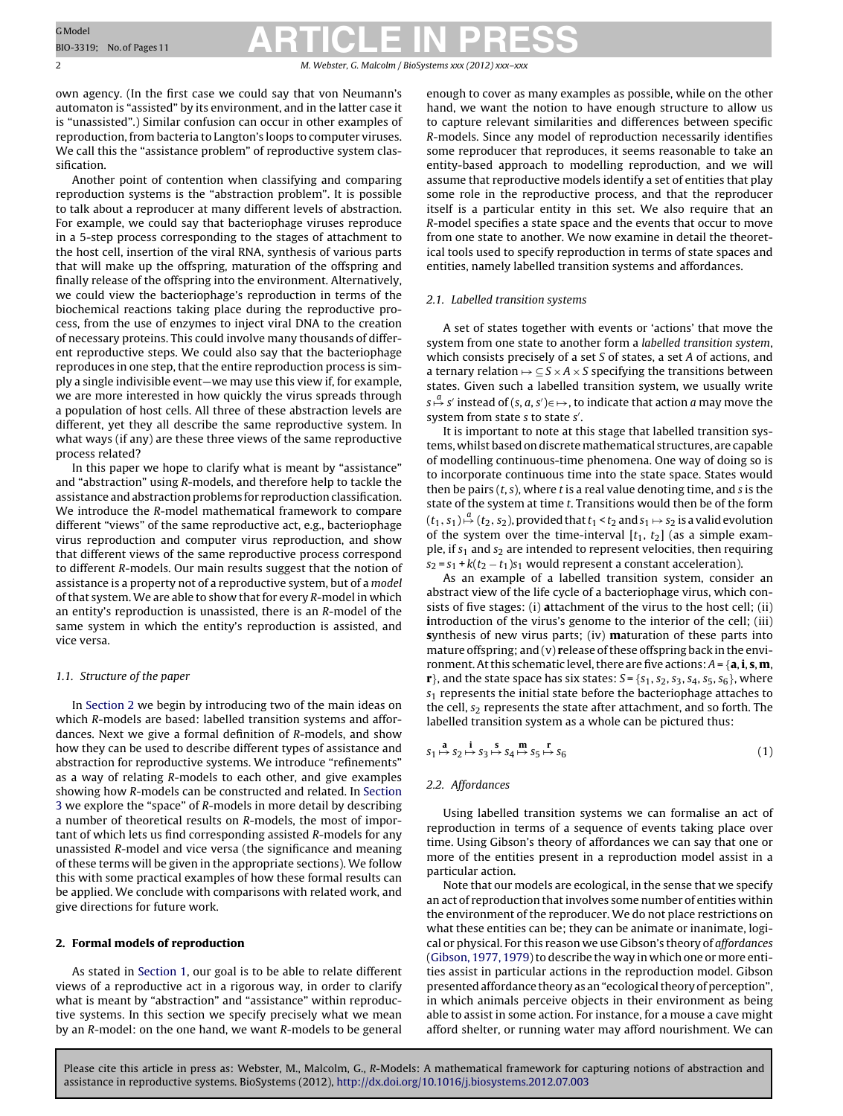<span id="page-1-0"></span>2 M. Webster, G. Malcolm / BioSystems *xxx* (2012) *xxx* 

own agency. (In the first case we could say that von Neumann's automaton is "assisted" by its environment, and in the latter case it is "unassisted".) Similar confusion can occur in other examples of reproduction, from bacteria to Langton's loops to computer viruses. We call this the "assistance problem" of reproductive system classification.

Another point of contention when classifying and comparing reproduction systems is the "abstraction problem". It is possible to talk about a reproducer at many different levels of abstraction. For example, we could say that bacteriophage viruses reproduce in a 5-step process corresponding to the stages of attachment to the host cell, insertion of the viral RNA, synthesis of various parts that will make up the offspring, maturation of the offspring and finally release of the offspring into the environment. Alternatively, we could view the bacteriophage's reproduction in terms of the biochemical reactions taking place during the reproductive process, from the use of enzymes to inject viral DNA to the creation of necessary proteins. This could involve many thousands of different reproductive steps. We could also say that the bacteriophage reproduces in one step, that the entire reproduction process is simply a single indivisible event—we may use this view if, for example, we are more interested in how quickly the virus spreads through a population of host cells. All three of these abstraction levels are different, yet they all describe the same reproductive system. In what ways (if any) are these three views of the same reproductive process related?

In this paper we hope to clarify what is meant by "assistance" and "abstraction" using R-models, and therefore help to tackle the assistance and abstraction problems for reproduction classification. We introduce the R-model mathematical framework to compare different "views" of the same reproductive act, e.g., bacteriophage virus reproduction and computer virus reproduction, and show that different views of the same reproductive process correspond to different R-models. Our main results suggest that the notion of assistance is a property not of a reproductive system, but of a model of that system. We are able to show that for every R-model in which an entity's reproduction is unassisted, there is an R-model of the same system in which the entity's reproduction is assisted, and vice versa.

### 1.1. Structure of the paper

In Section 2 we begin by introducing two of the main ideas on which R-models are based: labelled transition systems and affordances. Next we give a formal definition of R-models, and show how they can be used to describe different types of assistance and abstraction for reproductive systems. We introduce "refinements" as a way of relating R-models to each other, and give examples showing how R-models can be constructed and related. In [Section](#page-5-0) [3](#page-5-0) we explore the "space" of R-models in more detail by describing a number of theoretical results on R-models, the most of important of which lets us find corresponding assisted R-models for any unassisted R-model and vice versa (the significance and meaning of these terms will be given in the appropriate sections). We follow this with some practical examples of how these formal results can be applied. We conclude with comparisons with related work, and give directions for future work.

### **2. Formal models of reproduction**

As stated in [Section](#page-0-0) [1,](#page-0-0) our goal is to be able to relate different views of a reproductive act in a rigorous way, in order to clarify what is meant by "abstraction" and "assistance" within reproductive systems. In this section we specify precisely what we mean by an R-model: on the one hand, we want R-models to be general

enough to cover as many examples as possible, while on the other hand, we want the notion to have enough structure to allow us to capture relevant similarities and differences between specific R-models. Since any model of reproduction necessarily identifies some reproducer that reproduces, it seems reasonable to take an entity-based approach to modelling reproduction, and we will assume that reproductive models identify a set of entities that play some role in the reproductive process, and that the reproducer itself is a particular entity in this set. We also require that an R-model specifies a state space and the events that occur to move from one state to another. We now examine in detail the theoretical tools used to specify reproduction in terms of state spaces and entities, namely labelled transition systems and affordances.

#### 2.1. Labelled transition systems

A set of states together with events or 'actions' that move the system from one state to another form a labelled transition system, which consists precisely of a set S of states, a set A of actions, and a ternary relation  $\rightarrow \subseteq S \times A \times S$  specifying the transitions between states. Given such a labelled transition system, we usually write  $s \stackrel{a}{\mapsto} s'$  instead of  $(s, a, s') \in \mapsto$  , to indicate that action  $a$  may move the system from state s to state s'.

It is important to note at this stage that labelled transition systems, whilst based on discretemathematical structures, are capable of modelling continuous-time phenomena. One way of doing so is to incorporate continuous time into the state space. States would then be pairs  $(t, s)$ , where  $t$  is a real value denoting time, and  $s$  is the state of the system at time t. Transitions would then be of the form  $(t_1, s_1)$   $\stackrel{a}{\mapsto}$   $(t_2, s_2)$ , provided that  $t_1$  <  $t_2$  and  $s_1$   $\mapsto$   $s_2$  is a valid evolution of the system over the time-interval  $[t_1, t_2]$  (as a simple example, if  $s_1$  and  $s_2$  are intended to represent velocities, then requiring  $s_2 = s_1 + k(t_2 - t_1)s_1$  would represent a constant acceleration).

As an example of a labelled transition system, consider an abstract view of the life cycle of a bacteriophage virus, which consists of five stages: (i) **a**ttachment of the virus to the host cell; (ii) **i**ntroduction of the virus's genome to the interior of the cell; (iii) **s**ynthesis of new virus parts; (iv) **m**aturation of these parts into mature offspring; and (v) **r**elease of these offspring back in the environment. At this schematic level, there are five actions:  $A = \{a, i, s, m\}$  $\mathbf{r}$ }, and the state space has six states:  $S = \{s_1, s_2, s_3, s_4, s_5, s_6\}$ , where  $s<sub>1</sub>$  represents the initial state before the bacteriophage attaches to the cell,  $s_2$  represents the state after attachment, and so forth. The labelled transition system as a whole can be pictured thus:

$$
s_1 \mapsto s_2 \mapsto s_3 \mapsto s_4 \mapsto s_5 \mapsto s_6 \tag{1}
$$

# 2.2. Affordances

Using labelled transition systems we can formalise an act of reproduction in terms of a sequence of events taking place over time. Using Gibson's theory of affordances we can say that one or more of the entities present in a reproduction model assist in a particular action.

Note that our models are ecological, in the sense that we specify an act of reproduction that involves some number of entities within the environment of the reproducer. We do not place restrictions on what these entities can be; they can be animate or inanimate, logical or physical. For this reason we use Gibson's theory of affordances [\(Gibson,](#page-10-0) [1977,](#page-10-0) 1979) to describe the way in which one or more entities assist in particular actions in the reproduction model. Gibson presented affordance theory as an "ecological theory of perception", in which animals perceive objects in their environment as being able to assist in some action. For instance, for a mouse a cave might afford shelter, or running water may afford nourishment. We can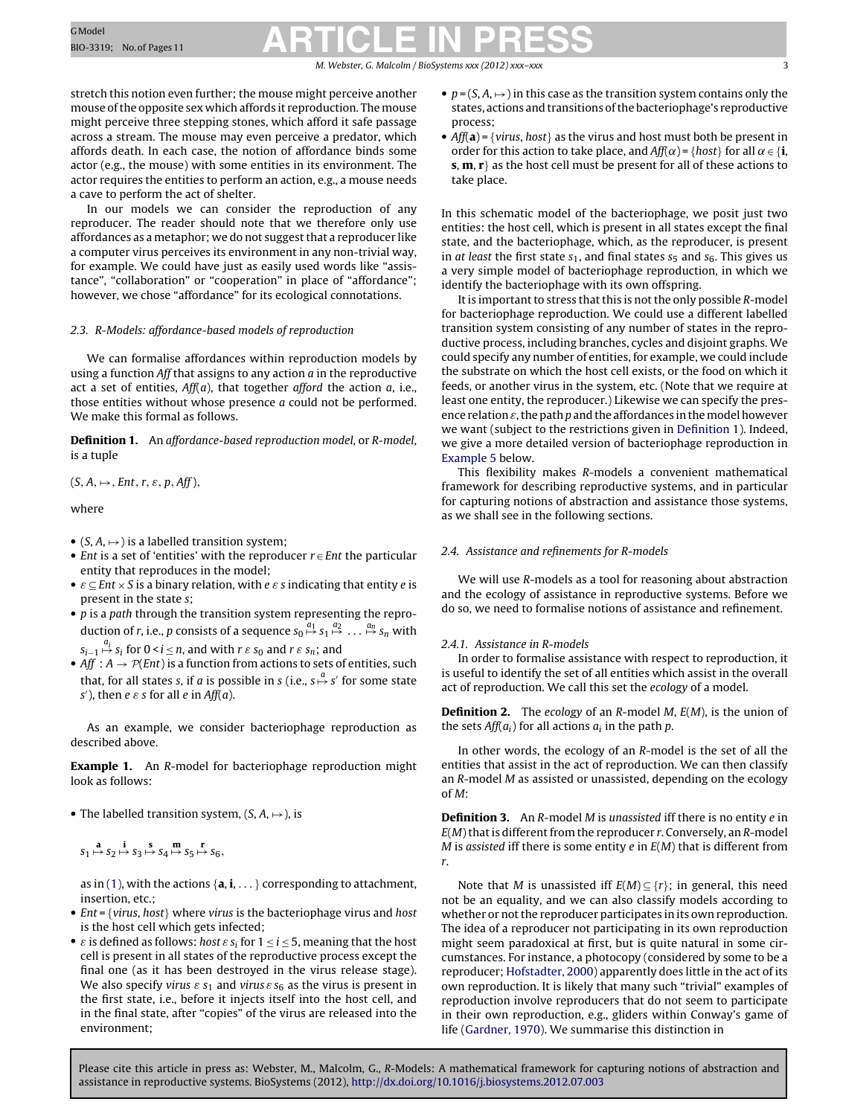M. Webster, G. Malcolm / BioSystems *xxx (2012) xxx–xxx* 3

<span id="page-2-0"></span>stretch this notion even further; the mouse might perceive another mouse of the opposite sex which affords it reproduction. The mouse might perceive three stepping stones, which afford it safe passage across a stream. The mouse may even perceive a predator, which affords death. In each case, the notion of affordance binds some actor (e.g., the mouse) with some entities in its environment. The actor requires the entities to perform an action, e.g., a mouse needs a cave to perform the act of shelter.

In our models we can consider the reproduction of any reproducer. The reader should note that we therefore only use affordances as a metaphor; we do not suggest that a reproducer like a computer virus perceives its environment in any non-trivial way, for example. We could have just as easily used words like "assistance", "collaboration" or "cooperation" in place of "affordance"; however, we chose "affordance" for its ecological connotations.

### 2.3. R-Models: affordance-based models of reproduction

We can formalise affordances within reproduction models by using a function  $Aff$  that assigns to any action  $a$  in the reproductive act a set of entities,  $Aff(a)$ , that together afford the action a, i.e., those entities without whose presence a could not be performed. We make this formal as follows.

**Definition 1.** An affordance-based reproduction model, or R-model, is a tuple

 $(S, A, \mapsto, Ent, r, \varepsilon, p, Aff),$ 

where

- $(S, A, \mapsto)$  is a labelled transition system;
- *Ent* is a set of 'entities' with the reproducer  $r \in$  *Ent* the particular entity that reproduces in the model;
- $\varepsilon \subseteq Ent \times S$  is a binary relation, with e  $\varepsilon$  s indicating that entity e is present in the state s;
- $\bullet$  p is a path through the transition system representing the reproduction of r, i.e.,  $p$  consists of a sequence  $s_0 \stackrel{a_1}{\mapsto} s_1 \stackrel{a_2}{\mapsto} \dots \stackrel{a_n}{\mapsto} s_n$  with

 $s_{i-1} \stackrel{a_i}{\mapsto} s_i$  for  $0 \leq i \leq n$ , and with  $r \mathrel{\varepsilon} s_0$  and  $r \mathrel{\varepsilon} s_n$ ; and

• Aff :  $A \rightarrow \mathcal{P}(Ent)$  is a function from actions to sets of entities, such that, for all states s, if a is possible in s (i.e.,  $s \stackrel{a}{\mapsto} s'$  for some state s'), then  $e \varepsilon s$  for all  $e$  in Aff(a).

As an example, we consider bacteriophage reproduction as described above.

**Example 1.** An R-model for bacteriophage reproduction might look as follows:

• The labelled transition system,  $(S, A, \mapsto)$ , is

 $s_1 \mapsto s_2 \mapsto s_3 \mapsto s_4 \mapsto s_5 \mapsto s_6,$ 

as in [\(1\),](#page-1-0) with the actions  $\{a, i, \ldots\}$  corresponding to attachment, insertion, etc.;

- $Ent = \{virus, host\}$  where virus is the bacteriophage virus and host is the host cell which gets infected;
- $\varepsilon$  is defined as follows: host  $\varepsilon$  s<sub>i</sub> for  $1 \le i \le 5$ , meaning that the host cell is present in all states of the reproductive process except the final one (as it has been destroyed in the virus release stage). We also specify virus  $\varepsilon$  s<sub>1</sub> and virus  $\varepsilon$  s<sub>6</sub> as the virus is present in the first state, i.e., before it injects itself into the host cell, and in the final state, after "copies" of the virus are released into the environment;
- $p = (S, A, \rightarrow)$  in this case as the transition system contains only the states, actions and transitions ofthe bacteriophage's reproductive process;
- $Aff(a) = \{ virus, host\}$  as the virus and host must both be present in order for this action to take place, and  $Aff(\alpha) = \{host\}$  for all  $\alpha \in \{\mathbf{i}, \mathbf{j}\}$ **s**, **m**, **r**} as the host cell must be present for all of these actions to take place.

In this schematic model of the bacteriophage, we posit just two entities: the host cell, which is present in all states except the final state, and the bacteriophage, which, as the reproducer, is present in at least the first state  $s_1$ , and final states  $s_5$  and  $s_6$ . This gives us a very simple model of bacteriophage reproduction, in which we identify the bacteriophage with its own offspring.

It is important to stress that this is not the only possible R-model for bacteriophage reproduction. We could use a different labelled transition system consisting of any number of states in the reproductive process, including branches, cycles and disjoint graphs. We could specify any number of entities, for example, we could include the substrate on which the host cell exists, or the food on which it feeds, or another virus in the system, etc. (Note that we require at least one entity, the reproducer.) Likewise we can specify the presence relation  $\varepsilon$ , the path p and the affordances in the model however we want (subject to the restrictions given in Definition 1). Indeed, we give a more detailed version of bacteriophage reproduction in [Example](#page-4-0) [5](#page-4-0) below.

This flexibility makes R-models a convenient mathematical framework for describing reproductive systems, and in particular for capturing notions of abstraction and assistance those systems, as we shall see in the following sections.

# 2.4. Assistance and refinements for R-models

We will use R-models as a tool for reasoning about abstraction and the ecology of assistance in reproductive systems. Before we do so, we need to formalise notions of assistance and refinement.

# 2.4.1. Assistance in R-models

In order to formalise assistance with respect to reproduction, it is useful to identify the set of all entities which assist in the overall act of reproduction. We call this set the ecology of a model.

**Definition 2.** The ecology of an R-model M,  $E(M)$ , is the union of the sets  $Aff(a_i)$  for all actions  $a_i$  in the path p.

In other words, the ecology of an R-model is the set of all the entities that assist in the act of reproduction. We can then classify an R-model M as assisted or unassisted, depending on the ecology of M:

**Definition 3.** An R-model M is unassisted iff there is no entity e in  $E(M)$  that is different from the reproducer r. Conversely, an R-model M is assisted iff there is some entity  $e$  in  $E(M)$  that is different from r.

Note that M is unassisted iff  $E(M) \subseteq \{r\}$ ; in general, this need not be an equality, and we can also classify models according to whether or not the reproducer participates in its own reproduction. The idea of a reproducer not participating in its own reproduction might seem paradoxical at first, but is quite natural in some circumstances. For instance, a photocopy (considered by some to be a reproducer; [Hofstadter,](#page-10-0) [2000\)](#page-10-0) apparently does little in the act of its own reproduction. It is likely that many such "trivial" examples of reproduction involve reproducers that do not seem to participate in their own reproduction, e.g., gliders within Conway's game of life [\(Gardner,](#page-10-0) [1970\).](#page-10-0) We summarise this distinction in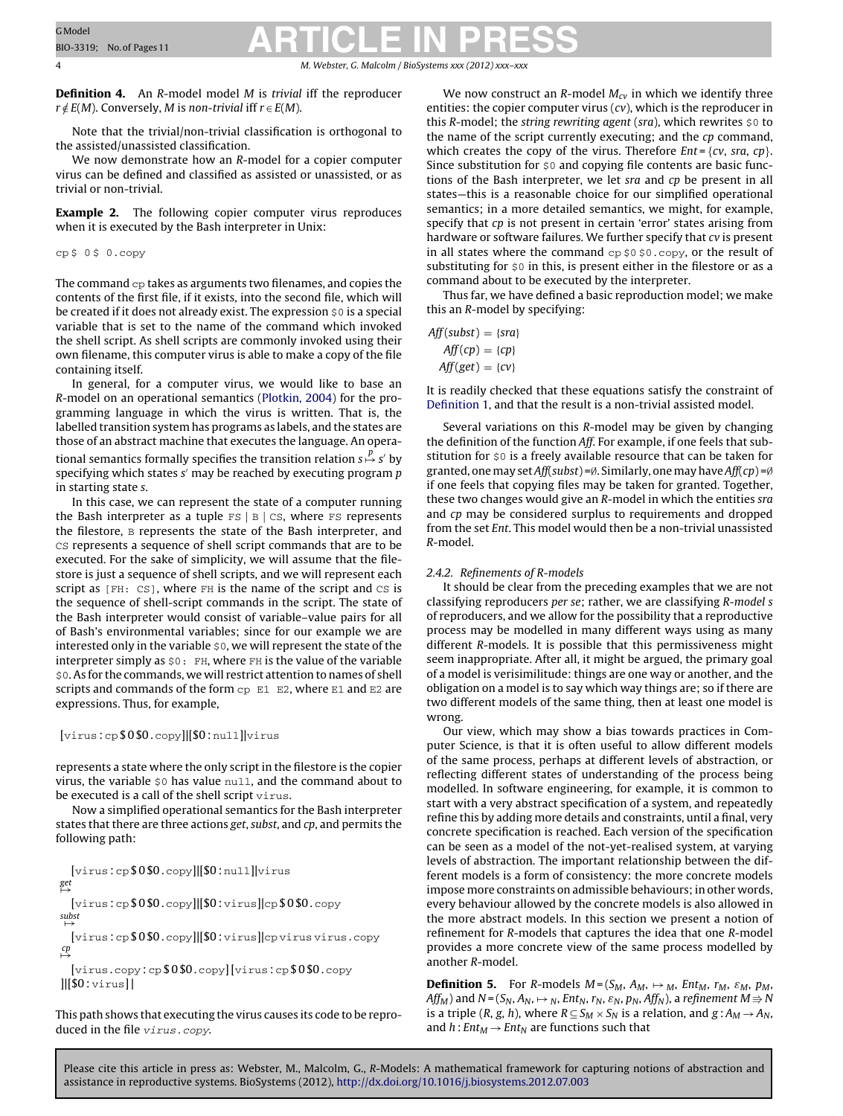<span id="page-3-0"></span>4 M. Webster, G. Malcolm / BioSystems *xxx (2012) xxx–xxx*

**Definition 4.** An R-model model M is trivial iff the reproducer  $r \notin E(M)$ . Conversely, M is non-trivial iff  $r \in E(M)$ .

Note that the trivial/non-trivial classification is orthogonal to the assisted/unassisted classification.

We now demonstrate how an R-model for a copier computer virus can be defined and classified as assisted or unassisted, or as trivial or non-trivial.

**Example 2.** The following copier computer virus reproduces when it is executed by the Bash interpreter in Unix:

cp \$ 0 \$ 0.copy

The command  $cp$  takes as arguments two filenames, and copies the contents of the first file, if it exists, into the second file, which will be created if it does not already exist. The expression  $\zeta$ <sup>0</sup> is a special variable that is set to the name of the command which invoked the shell script. As shell scripts are commonly invoked using their own filename, this computer virus is able to make a copy of the file containing itself.

In general, for a computer virus, we would like to base an R-model on an operational semantics ([Plotkin,](#page-10-0) [2004\)](#page-10-0) for the programming language in which the virus is written. That is, the labelled transition system has programs as labels, and the states are those of an abstract machine that executes the language. An operational semantics formally specifies the transition relation  $\mathrm{s} \mathop{\mapsto}^p \mathrm{s}'$  by specifying which states  $s'$  may be reached by executing program  $p$ in starting state s.

In this case, we can represent the state of a computer running the Bash interpreter as a tuple  $FS \mid B \mid CS$ , where FS represents the filestore, B represents the state of the Bash interpreter, and CS represents a sequence of shell script commands that are to be executed. For the sake of simplicity, we will assume that the filestore is just a sequence of shell scripts, and we will represent each script as [FH: CS], where FH is the name of the script and CS is the sequence of shell-script commands in the script. The state of the Bash interpreter would consist of variable–value pairs for all of Bash's environmental variables; since for our example we are interested only in the variable \$0, we will represent the state of the interpreter simply as \$0: FH, where FH is the value of the variable \$0. As for the commands, we will restrict attention to names of shell scripts and commands of the form  $cp$  E1 E2, where E1 and E2 are expressions. Thus, for example,

[virus : cp \$ 0 \$0 . copy]|[\$0 : null]|virus

represents a state where the only script in the filestore is the copier virus, the variable  $$0$  has value  $null$ , and the command about to be executed is a call of the shell script virus.

Now a simplified operational semantics for the Bash interpreter states that there are three actions get, subst, and cp, and permits the following path:

 $[\text{virus:cp$0$0.copy}][[$0:null] \text{virus}$ get →

[virus : cp \$ 0 \$0 . copy]|[\$0 : virus]|cp \$ 0 \$0 . copy subst →

[virus : cp \$ 0 \$0 . copy]|[\$0 : virus]|cp virus virus . copy  $\overset{cp}{\mapsto}$ 

[virus . copy : cp \$ 0 \$0 . copy][virus : cp \$ 0 \$0 . copy  $||[$0:virus||$ 

This path shows that executing the virus causes its code to be reproduced in the file virus.copy.

We now construct an R-model  $M_{cv}$  in which we identify three entities: the copier computer virus  $(cv)$ , which is the reproducer in this R-model; the string rewriting agent (sra), which rewrites  $\zeta$ <sup>0</sup> to the name of the script currently executing; and the cp command, which creates the copy of the virus. Therefore  $Ent = \{cv, sra, cp\}$ . Since substitution for \$0 and copying file contents are basic functions of the Bash interpreter, we let sra and cp be present in all states—this is a reasonable choice for our simplified operational semantics; in a more detailed semantics, we might, for example, specify that *cp* is not present in certain 'error' states arising from hardware or software failures. We further specify that cv is present in all states where the command  $cp$  \$0 \$0.copy, or the result of substituting for  $\zeta$ <sup>0</sup> in this, is present either in the filestore or as a command about to be executed by the interpreter.

Thus far, we have defined a basic reproduction model; we make this an R-model by specifying:

| $Aff(subst) = \{sra\}$ |  |
|------------------------|--|
| $Aff(cp) = \{cp\}$     |  |
| $Aff(get) = \{cv\}$    |  |

It is readily checked that these equations satisfy the constraint of [Definition](#page-2-0) [1,](#page-2-0) and that the result is a non-trivial assisted model.

Several variations on this R-model may be given by changing the definition of the function Aff. For example, if one feels that substitution for  $\zeta$ <sup>0</sup> is a freely available resource that can be taken for granted, one may set Aff(subst) =∅. Similarly, one may have Aff(cp) =∅ if one feels that copying files may be taken for granted. Together, these two changes would give an R-model in which the entities sra and cp may be considered surplus to requirements and dropped from the set Ent. This model would then be a non-trivial unassisted R-model.

# 2.4.2. Refinements of R-models

It should be clear from the preceding examples that we are not classifying reproducers per se; rather, we are classifying R-model s of reproducers, and we allow for the possibility that a reproductive process may be modelled in many different ways using as many different R-models. It is possible that this permissiveness might seem inappropriate. After all, it might be argued, the primary goal of a model is verisimilitude: things are one way or another, and the obligation on a model is to say which way things are; so if there are two different models of the same thing, then at least one model is wrong.

Our view, which may show a bias towards practices in Computer Science, is that it is often useful to allow different models of the same process, perhaps at different levels of abstraction, or reflecting different states of understanding of the process being modelled. In software engineering, for example, it is common to start with a very abstract specification of a system, and repeatedly refine this by adding more details and constraints, until a final, very concrete specification is reached. Each version of the specification can be seen as a model of the not-yet-realised system, at varying levels of abstraction. The important relationship between the different models is a form of consistency: the more concrete models impose more constraints on admissible behaviours; in other words, every behaviour allowed by the concrete models is also allowed in the more abstract models. In this section we present a notion of refinement for R-models that captures the idea that one R-model provides a more concrete view of the same process modelled by another R-model.

**Definition 5.** For R-models  $M = (S_M, A_M, \rightarrow M, Ent_M, r_M, \varepsilon_M, p_M,$ Aff $_M$ ) and N = (S $_{\rm N},$  A $_{\rm N},$   $\mapsto$   $_{\rm N},$  Ent $_{\rm N},$   $r_{\rm N},$   $\varepsilon_{\rm N},$   $p_{\rm N},$  Aff $_{\rm N}$ ), a refinement M  $\Rightarrow$  N is a triple (R, g, h), where  $R \subseteq S_M \times S_N$  is a relation, and  $g : A_M \to A_N$ , and  $h: Ent_M \to Ent_N$  are functions such that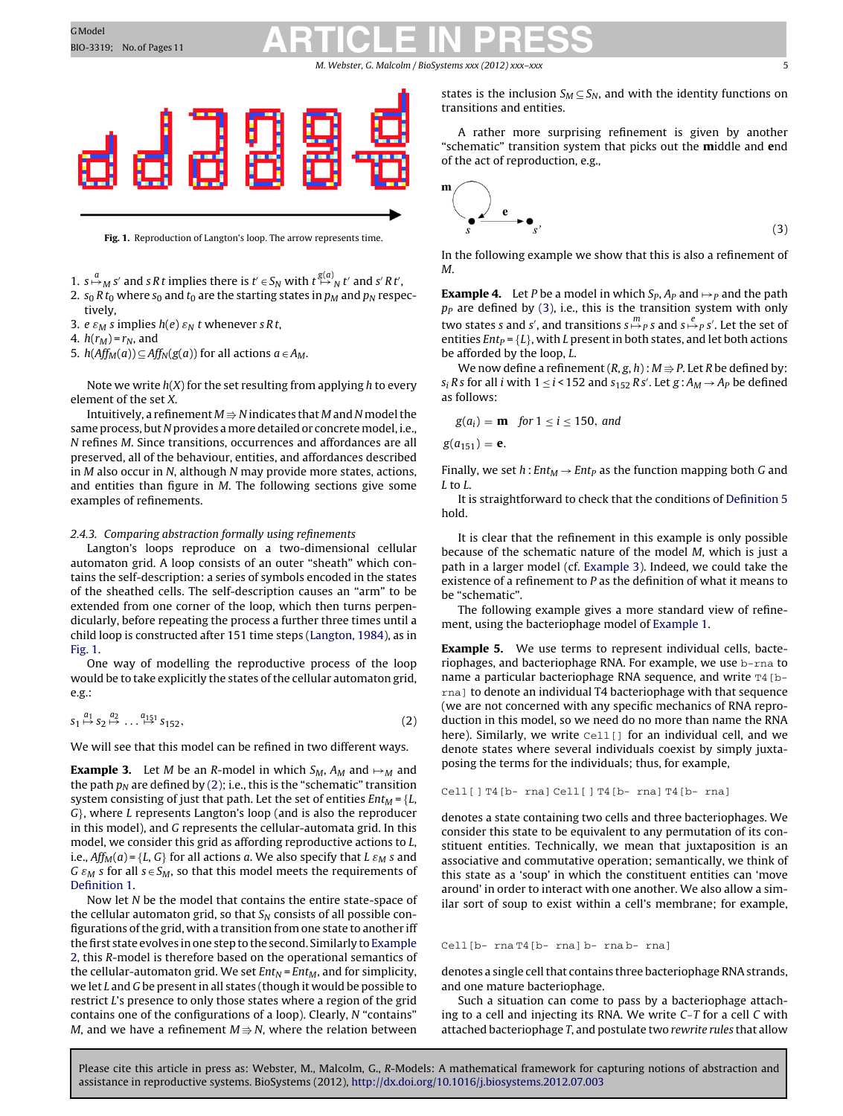#### M. Webster, G. Malcolm / BioSystems *xxx (2012) xxx–xxx* 5

<span id="page-4-0"></span>

**Fig. 1.** Reproduction of Langton's loop. The arrow represents time.

- 1.  $s \mapsto_M s'$  and s R t implies there is  $t' \in S_N$  with  $t \stackrel{g(a)}{\mapsto_N} t'$  and s' R t',
- 2.  $s_0 R t_0$  where  $s_0$  and  $t_0$  are the starting states in  $p_M$  and  $p_N$  respectively,
- 3. e  $\varepsilon_M$  s implies  $h(e) \varepsilon_N t$  whenever s R t,
- 4.  $h(r_M) = r_N$ , and
- 5.  $h(Aff_M(a)) \subseteq Aff_N(g(a))$  for all actions  $a \in A_M$ .

Note we write  $h(X)$  for the set resulting from applying h to every element of the set X.

Intuitively, a refinement  $M$   $\Rightarrow$   $N$  indicates that  $M$  and  $N$  model the same process, but N provides a more detailed or concrete model, i.e., N refines M. Since transitions, occurrences and affordances are all preserved, all of the behaviour, entities, and affordances described in M also occur in N, although N may provide more states, actions, and entities than figure in M. The following sections give some examples of refinements.

### 2.4.3. Comparing abstraction formally using refinements

Langton's loops reproduce on a two-dimensional cellular automaton grid. A loop consists of an outer "sheath" which contains the self-description: a series of symbols encoded in the states of the sheathed cells. The self-description causes an "arm" to be extended from one corner of the loop, which then turns perpendicularly, before repeating the process a further three times until a child loop is constructed after 151 time steps ([Langton,](#page-10-0) [1984\),](#page-10-0) as in Fig. 1.

One way of modelling the reproductive process of the loop would be to take explicitly the states of the cellular automaton grid, e.g.:

$$
s_1 \stackrel{a_1}{\mapsto} s_2 \stackrel{a_2}{\mapsto} \dots \stackrel{a_{151}}{\mapsto} s_{152},\tag{2}
$$

We will see that this model can be refined in two different ways.

**Example 3.** Let M be an R-model in which  $S_M$ ,  $A_M$  and  $\mapsto_M$  and the path  $p_N$  are defined by (2); i.e., this is the "schematic" transition system consisting of just that path. Let the set of entities  $Ent_M = \{L,$ G}, where L represents Langton's loop (and is also the reproducer in this model), and G represents the cellular-automata grid. In this model, we consider this grid as affording reproductive actions to L, i.e.,  $Aff_{M}(a) = \{L, G\}$  for all actions a. We also specify that L  $\varepsilon_{M}$  s and G  $\varepsilon_M$  s for all  $s \in S_M$ , so that this model meets the requirements of [Definition](#page-2-0) [1.](#page-2-0)

Now let N be the model that contains the entire state-space of the cellular automaton grid, so that  $S_N$  consists of all possible configurations ofthe grid, with a transition from one state to another iff the first state evolves in one step to the second. Similarly to [Example](#page-3-0) [2,](#page-3-0) this R-model is therefore based on the operational semantics of the cellular-automaton grid. We set  $Ent_N = Ent_M$ , and for simplicity, we let  $L$  and  $G$  be present in all states (though it would be possible to restrict L's presence to only those states where a region of the grid contains one of the configurations of a loop). Clearly, N "contains" M, and we have a refinement  $M$   $\Rightarrow$   $N$ , where the relation between

states is the inclusion  $S_M \subseteq S_N$ , and with the identity functions on transitions and entities.

A rather more surprising refinement is given by another "schematic" transition system that picks out the **m**iddle and **e**nd of the act of reproduction, e.g.,

$$
\begin{array}{c}\n\bullet \\
\bullet \\
\bullet \\
\bullet \\
\bullet\n\end{array}
$$

In the following example we show that this is also a refinement of M.

**Example 4.** Let P be a model in which  $S_p$ ,  $A_p$  and  $\mapsto$  and the path  $p<sub>P</sub>$  are defined by (3), i.e., this is the transition system with only two states s and s', and transitions  $s \stackrel{m}{\mapsto}{}_{P} s$  and  $s \stackrel{e}{\mapsto}{}_{P} s'$ . Let the set of entities  $Ent_P = \{L\}$ , with L present in both states, and let both actions be afforded by the loop, L.

We now define a refinement (R, g, h) :  $M$   $\Rightarrow$  P. Let R be defined by:  $s_i$  Rs for all i with  $1 \le i < 152$  and  $s_{152}$  Rs'. Let  $g : A_M \rightarrow A_P$  be defined as follows:

$$
g(a_i) = \mathbf{m} \quad \text{for } 1 \leq i \leq 150, \text{ and}
$$

 $g(a_{151}) = e.$ 

Finally, we set  $h: Ent_M \to Ent_P$  as the function mapping both G and L to L.

It is straightforward to check that the conditions of [Definition](#page-3-0) [5](#page-3-0) hold.

It is clear that the refinement in this example is only possible because of the schematic nature of the model M, which is just a path in a larger model (cf. Example 3). Indeed, we could take the existence of a refinement to P as the definition of what it means to be "schematic".

The following example gives a more standard view of refinement, using the bacteriophage model of [Example](#page-2-0) [1.](#page-2-0)

**Example 5.** We use terms to represent individual cells, bacteriophages, and bacteriophage RNA. For example, we use b-rna to name a particular bacteriophage RNA sequence, and write T4 [brna] to denote an individual T4 bacteriophage with that sequence (we are not concerned with any specific mechanics of RNA reproduction in this model, so we need do no more than name the RNA here). Similarly, we write  $Cell$  for an individual cell, and we denote states where several individuals coexist by simply juxtaposing the terms for the individuals; thus, for example,

```
Cell[ ] T4[b- rna] Cell[ ] T4[b- rna] T4[b- rna]
```
denotes a state containing two cells and three bacteriophages. We consider this state to be equivalent to any permutation of its constituent entities. Technically, we mean that juxtaposition is an associative and commutative operation; semantically, we think of this state as a 'soup' in which the constituent entities can 'move around' in order to interact with one another. We also allow a similar sort of soup to exist within a cell's membrane; for example,

#### Cell[b- rna T4[b- rna] b- rna b- rna]

denotes a single cell that contains three bacteriophage RNA strands, and one mature bacteriophage.

Such a situation can come to pass by a bacteriophage attaching to a cell and injecting its RNA. We write C-T for a cell C with attached bacteriophage T, and postulate two rewrite rules that allow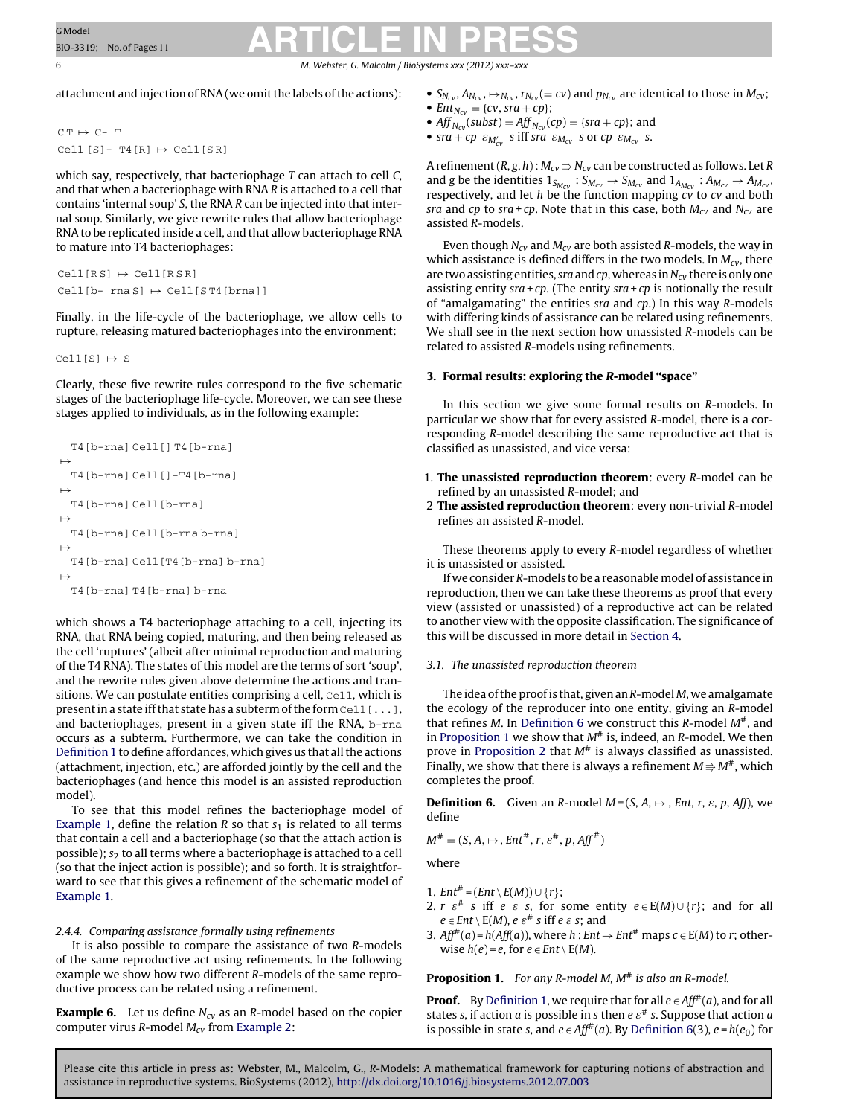<span id="page-5-0"></span>6 M. Webster, G. Malcolm / BioSystems *xxx (2012) xxx–xxx*

attachment and injection of RNA (we omit the labels of the actions):

 $C T \mapsto C-T$ Cell  $[S]$ - T4 $[R] \mapsto$  Cell $[SR]$ 

which say, respectively, that bacteriophage  $T$  can attach to cell  $C$ , and that when a bacteriophage with RNA R is attached to a cell that contains 'internal soup' S, the RNA R can be injected into that internal soup. Similarly, we give rewrite rules that allow bacteriophage RNA to be replicated inside a cell, and that allow bacteriophage RNA to mature into T4 bacteriophages:

```
Cell[RS] \mapsto Cell[RS]Cell[b-rna S] \mapsto Cell[ST4[brna]]
```
Finally, in the life-cycle of the bacteriophage, we allow cells to rupture, releasing matured bacteriophages into the environment:

Cell[S]  $\mapsto$  S

Clearly, these five rewrite rules correspond to the five schematic stages of the bacteriophage life-cycle. Moreover, we can see these stages applied to individuals, as in the following example:

```
T4[b-rna] Cell[] T4[b-rna]
\mapstoT4[b-rna] Cell[]-T4[b-rna]
\mapstoT4[b-rna] Cell[b-rna]
\mapstoT4[b-rna] Cell[b-rna b-rna]
\mapstoT4[b-rna] Cell[T4[b-rna] b-rna]
\mapstoT4[b-rna] T4[b-rna] b-rna
```
which shows a T4 bacteriophage attaching to a cell, injecting its RNA, that RNA being copied, maturing, and then being released as the cell 'ruptures' (albeit after minimal reproduction and maturing of the T4 RNA). The states of this model are the terms of sort 'soup', and the rewrite rules given above determine the actions and transitions. We can postulate entities comprising a cell, Cell, which is present in a state iff that state has a subterm of the form  $cell$  [...], and bacteriophages, present in a given state iff the RNA, b-rna occurs as a subterm. Furthermore, we can take the condition in [Definition](#page-2-0) [1](#page-2-0) to define affordances, which gives us that all the actions (attachment, injection, etc.) are afforded jointly by the cell and the bacteriophages (and hence this model is an assisted reproduction model).

To see that this model refines the bacteriophage model of [Example](#page-2-0) [1,](#page-2-0) define the relation  $R$  so that  $s_1$  is related to all terms that contain a cell and a bacteriophage (so that the attach action is possible);  $s_2$  to all terms where a bacteriophage is attached to a cell (so that the inject action is possible); and so forth. It is straightforward to see that this gives a refinement of the schematic model of [Example](#page-2-0) [1.](#page-2-0)

# 2.4.4. Comparing assistance formally using refinements

It is also possible to compare the assistance of two R-models of the same reproductive act using refinements. In the following example we show how two different R-models of the same reproductive process can be related using a refinement.

**Example 6.** Let us define  $N_{CV}$  as an R-model based on the copier computer virus R-model  $M_{cv}$  from [Example](#page-3-0) [2:](#page-3-0)

- $S_{N_{cv}}, A_{N_{cv}}, \rightarrow_{N_{cv}}, r_{N_{cv}} (= cv)$  and  $p_{N_{cv}}$  are identical to those in  $M_{cv}$ ; •  $Ent_{N_{cv}} = \{cv, sra + cp\};$
- Aff  $_{N_{cv}}(subst) = Aff_{N_{cv}}(cp) = \{sra + cp\}$ ; and
- $sra + cp \varepsilon_{M'_{cv}} s$  iff sra  $\varepsilon_{M_{cv}} s$  or  $cp \varepsilon_{M_{cv}} s$ .

A refinement (R, g, h) :  $M_{c\nu}$   $\Rightarrow$   $N_{c\nu}$  can be constructed as follows. Let R and g be the identities  $1_{S_{M_{CV}}}$ :  $S_{M_{CV}} \rightarrow S_{M_{CV}}$  and  $1_{A_{M_{CV}}}$ :  $A_{M_{CV}} \rightarrow A_{M_{CV}}$  respectively, and let h be the function mapping cv to cv and both sra and cp to sra+cp. Note that in this case, both  $M_{CV}$  and  $N_{CV}$  are assisted R-models.

Even though  $N_{cv}$  and  $M_{cv}$  are both assisted R-models, the way in which assistance is defined differs in the two models. In  $M_{cv}$ , there are two assisting entities, sra and cp, whereas in  $N_{cv}$  there is only one assisting entity  $sra + cp$ . (The entity  $sra + cp$  is notionally the result of "amalgamating" the entities sra and  $cp$ .) In this way R-models with differing kinds of assistance can be related using refinements. We shall see in the next section how unassisted R-models can be related to assisted R-models using refinements.

# **3. Formal results: exploring the R-model "space"**

In this section we give some formal results on R-models. In particular we show that for every assisted R-model, there is a corresponding R-model describing the same reproductive act that is classified as unassisted, and vice versa:

- 1. **The unassisted reproduction theorem**: every R-model can be refined by an unassisted R-model; and
- 2 **The assisted reproduction theorem**: every non-trivial R-model refines an assisted R-model.

These theorems apply to every R-model regardless of whether it is unassisted or assisted.

If we consider R-models to be a reasonable model of assistance in reproduction, then we can take these theorems as proof that every view (assisted or unassisted) of a reproductive act can be related to another view with the opposite classification. The significance of this will be discussed in more detail in [Section](#page-7-0) [4.](#page-7-0)

# 3.1. The unassisted reproduction theorem

The idea of the proof is that, given an  $R$ -model  $M$ , we amalgamate the ecology of the reproducer into one entity, giving an R-model that refines M. In Definition 6 we construct this R-model  $M^*$ , and in Proposition 1 we show that  $M^{\#}$  is, indeed, an R-model. We then prove in [Proposition](#page-6-0) [2](#page-6-0) that  $M^*$  is always classified as unassisted. Finally, we show that there is always a refinement  $M \Rrightarrow M^{\#}$ , which completes the proof.

**Definition 6.** Given an R-model  $M = (S, A, \rightarrow, Ent, r, \varepsilon, p, Aff)$ , we define

$$
M^{\#} = (S, A, \mapsto, Ent^{\#}, r, \varepsilon^{\#}, p, Aff^{\#})
$$

where

1.  $Ent^{\#} = (Ent \setminus E(M)) \cup \{r\};$ 

- 2.  $r \varepsilon^*$  s iff e  $\varepsilon$  s, for some entity  $e \in E(M) \cup \{r\}$ ; and for all  $e \in Ent \setminus E(M)$ ,  $e \varepsilon^{\#}$  s iff e  $\varepsilon$  s; and
- 3. Aff<sup>#</sup>(*a*) = h(Aff(*a*)), where h : Ent  $\rightarrow$  Ent<sup>#</sup> maps  $c \in E(M)$  to r; otherwise  $h(e) = e$ , for  $e \in Ent \setminus E(M)$ .

**Proposition 1.** For any R-model M, M<sup>#</sup> is also an R-model.

**Proof.** By [Definition](#page-2-0) [1,](#page-2-0) we require that for all  $e \in Aff^*(a)$ , and for all states s, if action a is possible in s then  $e \epsilon^*$  s. Suppose that action a is possible in state s, and  $e \in Aff^*(a)$ . By Definition 6(3),  $e = h(e_0)$  for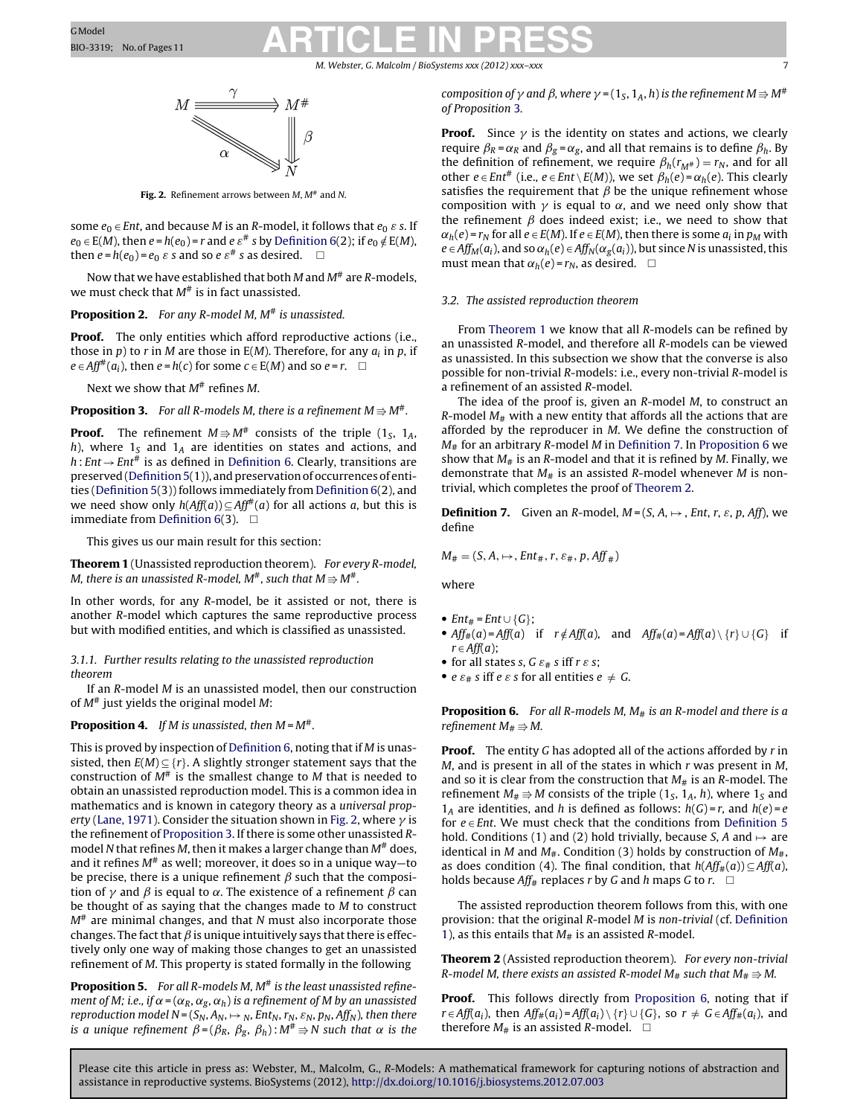#### M. Webster, G. Malcolm / BioSystems xxx (2012) xxx

<span id="page-6-0"></span>

Fig. 2. Refinement arrows between M,  $M^*$  and N.

some  $e_0 \in Ent$ , and because M is an R-model, it follows that  $e_0 \varepsilon$  s. If  $e_0 \in E(M)$ , then  $e = h(e_0) = r$  and  $e \varepsilon^*$  s by [Definition](#page-5-0) [6\(2](#page-5-0)); if  $e_0 \notin E(M)$ , then  $e = h(e_0) = e_0 \varepsilon s$  and so  $e \varepsilon^* s$  as desired.  $\Box$ 

Now that we have established that both M and  $M^{\#}$  are R-models. we must check that  $M^{\#}$  is in fact unassisted.

# **Proposition 2.** For any R-model M,  $M^{\#}$  is unassisted.

**Proof.** The only entities which afford reproductive actions (i.e., those in p) to r in M are those in  $E(M)$ . Therefore, for any  $a_i$  in p, if  $e \in Aff^{\#}(a_i)$ , then  $e = h(c)$  for some  $c \in E(M)$  and so  $e = r$ .  $\Box$ 

Next we show that  $M^{\#}$  refines M.

**Proposition 3.** For all R-models M, there is a refinement  $M \Rrightarrow M^\#$ .

**Proof.** The refinement  $M \Rightarrow M^*$  consists of the triple  $(1_S, 1_A,$ h), where  $1_S$  and  $1_A$  are identities on states and actions, and  $h: Ent \rightarrow Ent^{\#}$  is as defined in [Definition](#page-5-0) [6.](#page-5-0) Clearly, transitions are preserved (Definition 5(1)), and preservation of occurrences of entities [\(Definition](#page-3-0) [5\(3](#page-3-0))) follows immediately from [Definition](#page-5-0) [6\(2](#page-5-0)), and we need show only  $h(Aff(a)) \subseteq Aff^*(a)$  for all actions a, but this is immediate from [Definition](#page-5-0) [6\(3](#page-5-0)).  $\square$ 

This gives us our main result for this section:

**Theorem 1** (Unassisted reproduction theorem). For every R-model, M, there is an unassisted R-model, M $^{\#}$ , such that  $M$   $\Rightarrow$   $M^{\#}.$ 

In other words, for any R-model, be it assisted or not, there is another R-model which captures the same reproductive process but with modified entities, and which is classified as unassisted.

## 3.1.1. Further results relating to the unassisted reproduction theorem

If an R-model M is an unassisted model, then our construction of  $M^*$  just yields the original model M:

### **Proposition 4.** If M is unassisted, then  $M = M^*$ .

This is proved by inspection of [Definition](#page-5-0) [6,](#page-5-0) noting that if M is unassisted, then  $E(M) \subseteq \{r\}$ . A slightly stronger statement says that the construction of  $M^{\#}$  is the smallest change to M that is needed to obtain an unassisted reproduction model. This is a common idea in mathematics and is known in category theory as a universal prop-erty [\(Lane,](#page-10-0) [1971\).](#page-10-0) Consider the situation shown in Fig. 2, where  $\gamma$  is the refinement of Proposition 3. If there is some other unassisted Rmodel N that refines M, then it makes a larger change than  $M^{\#}$  does, and it refines  $M^*$  as well; moreover, it does so in a unique way—to be precise, there is a unique refinement  $\beta$  such that the composition of  $\gamma$  and  $\beta$  is equal to  $\alpha$ . The existence of a refinement  $\beta$  can be thought of as saying that the changes made to M to construct  $M^*$  are minimal changes, and that N must also incorporate those changes. The fact that  $\beta$  is unique intuitively says that there is effectively only one way of making those changes to get an unassisted refinement of M. This property is stated formally in the following

**Proposition 5.** For all R-models M, M<sup>#</sup> is the least unassisted refinement of M; i.e., if  $\alpha = (\alpha_R, \alpha_g, \alpha_h)$  is a refinement of M by an unassisted reproduction model N =  $(S_N, A_N, \rightarrow_N, Ent_N, r_N, \varepsilon_N, p_N, Aff_N)$ , then there is a unique refinement  $\beta$  = ( $\beta_R,~\beta_g,~\beta_h$ ) : M $^{\#}$   $\Rightarrow$  N such that  $\alpha$  is the

composition of  $\gamma$  and  $\beta$ , where  $\gamma$  = (1<sub>S</sub>, 1<sub>A</sub>, h) is the refinement M  $\Rightarrow$  M<sup>#</sup> of Proposition 3.

**Proof.** Since  $\gamma$  is the identity on states and actions, we clearly require  $\beta_R = \alpha_R$  and  $\beta_g = \alpha_g$ , and all that remains is to define  $\beta_h$ . By the definition of refinement, we require  $\beta_h(r_{M#}) = r_N$ , and for all other *e* ∈ Ent<sup>#</sup> (i.e., *e* ∈ Ent \ E(M)), we set  $\beta_h(e) = \alpha_h(e)$ . This clearly satisfies the requirement that  $\beta$  be the unique refinement whose composition with  $\gamma$  is equal to  $\alpha$ , and we need only show that the refinement  $\beta$  does indeed exist; i.e., we need to show that  $\alpha_h(e)$  =  $r_N$  for all  $e \in E(M)$ . If  $e \in E(M)$ , then there is some  $a_i$  in  $p_M$  with  $e \in Aff_M(a_i)$ , and so  $\alpha_h(e) \in Aff_N(\alpha_g(a_i))$ , but since N is unassisted, this must mean that  $\alpha_h(e) = r_N$ , as desired.  $\Box$ 

## 3.2. The assisted reproduction theorem

From Theorem 1 we know that all R-models can be refined by an unassisted R-model, and therefore all R-models can be viewed as unassisted. In this subsection we show that the converse is also possible for non-trivial R-models: i.e., every non-trivial R-model is a refinement of an assisted R-model.

The idea of the proof is, given an R-model M, to construct an R-model  $M_{\#}$  with a new entity that affords all the actions that are afforded by the reproducer in M. We define the construction of  $M_{\#}$  for an arbitrary R-model M in Definition 7. In Proposition 6 we show that  $M_{\#}$  is an R-model and that it is refined by M. Finally, we demonstrate that  $M_{\#}$  is an assisted R-model whenever M is nontrivial, which completes the proof of Theorem 2.

**Definition 7.** Given an R-model,  $M = (S, A, \rightarrow, Ent, r, \varepsilon, p, Aff)$ , we define

$$
M_{\#} = (S, A, \mapsto, Ent_{\#}, r, \varepsilon_{\#}, p, Aff_{\#})
$$

where

- $Ent_{\#} = Ent \cup \{G\};$
- Aff<sub>#</sub> $(a)$  = Aff(a) if  $r \notin Aff(a)$ , and Aff<sub>#</sub> $(a)$  = Aff(a) \ {r}  $\cup$  {G} if  $r \in Aff(a);$
- for all states s,  $G \varepsilon_{\#}$  s iff  $r \varepsilon$  s;
- $e \varepsilon_{\#}$  s iff  $e \varepsilon$  s for all entities  $e \neq G$ .

**Proposition 6.** For all R-models M, M<sub>#</sub> is an R-model and there is a refinement M $_{\texttt{\#}}\Rightarrow$  M.

**Proof.** The entity G has adopted all of the actions afforded by r in  $M$ , and is present in all of the states in which  $r$  was present in  $M$ , and so it is clear from the construction that  $M_{\#}$  is an R-model. The refinement  $M_{\#}$   $\Rightarrow$  M consists of the triple (1<sub>S</sub>, 1<sub>A</sub>, h), where 1<sub>S</sub> and  $1_A$  are identities, and h is defined as follows:  $h(G) = r$ , and  $h(e) = e$ for  $e \in Ent$ . We must check that the conditions from [Definition](#page-3-0) [5](#page-3-0) hold. Conditions (1) and (2) hold trivially, because S, A and  $\mapsto$  are identical in M and  $M_{\#}$ . Condition (3) holds by construction of  $M_{\#}$ , as does condition (4). The final condition, that  $h(Aff_{\#}(a)) \subseteq Aff(a)$ , holds because Aff<sub>#</sub> replaces r by G and h maps G to r.  $\Box$ 

The assisted reproduction theorem follows from this, with one provision: that the original R-model M is non-trivial (cf. [Definition](#page-2-0) [1\),](#page-2-0) as this entails that  $M_{\#}$  is an assisted R-model.

**Theorem 2** (Assisted reproduction theorem). For every non-trivial R-model M, there exists an assisted R-model M $_{\rm \#}$  such that M $_{\rm \#}$   $\Rightarrow$  M.

**Proof.** This follows directly from Proposition 6, noting that if  $r \in Aff(a_i)$ , then  $Aff_{#}(a_i) = Aff(a_i) \setminus \{r\} \cup \{G\}$ , so  $r \neq G \in Aff_{#}(a_i)$ , and therefore  $M_{\#}$  is an assisted R-model.  $\square$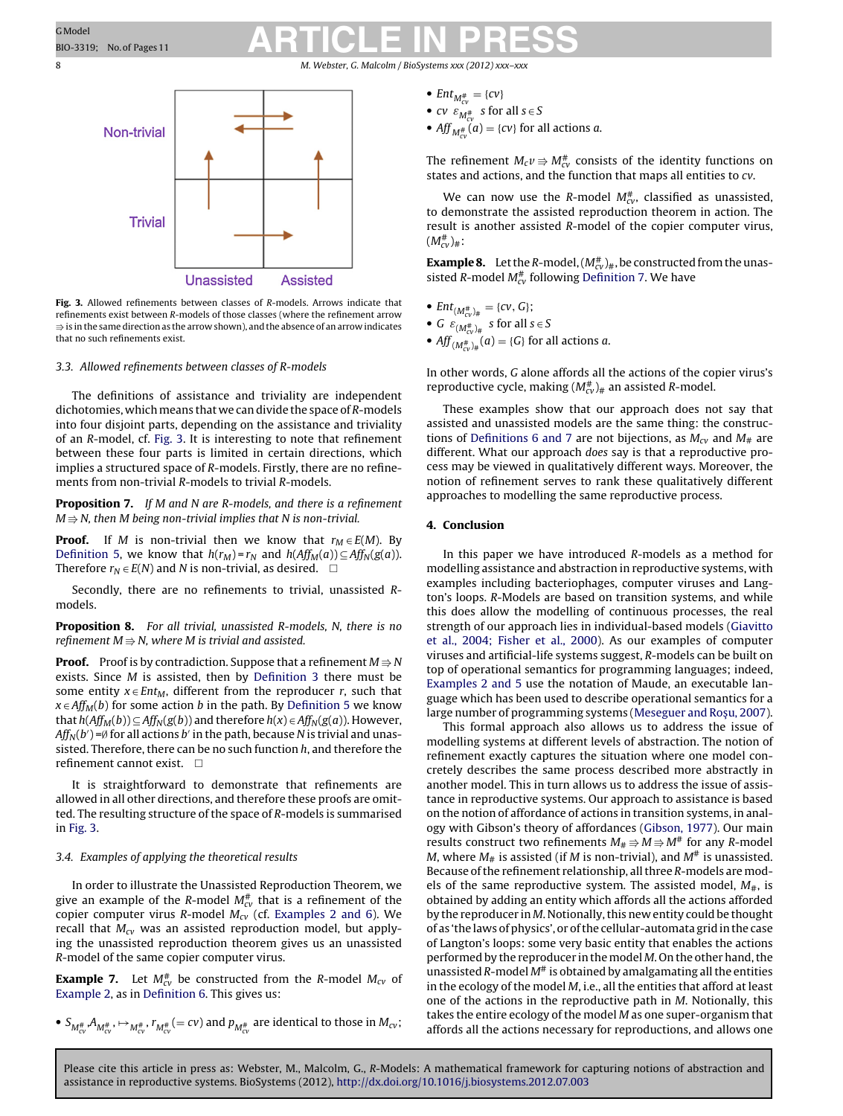<span id="page-7-0"></span>8 M. Webster, G. Malcolm / BioSystems *xxx* (2012) *xxx*-



**Fig. 3.** Allowed refinements between classes of R-models. Arrows indicate that refinements exist between R-models of those classes (where the refinement arrow  $\Rrightarrow$  is in the same direction as the arrow shown), and the absence of an arrow indicates that no such refinements exist.

#### 3.3. Allowed refinements between classes of R-models

The definitions of assistance and triviality are independent dichotomies, which means that we can divide the space of R-models into four disjoint parts, depending on the assistance and triviality of an R-model, cf. Fig. 3. It is interesting to note that refinement between these four parts is limited in certain directions, which implies a structured space of R-models. Firstly, there are no refinements from non-trivial R-models to trivial R-models.

**Proposition 7.** If M and N are R-models, and there is a refinement M  $\Rrightarrow$  N, then M being non-trivial implies that N is non-trivial.

**Proof.** If M is non-trivial then we know that  $r_M \in E(M)$ . By [Definition](#page-3-0) [5,](#page-3-0) we know that  $h(r_M) = r_N$  and  $h(Aff_M(a)) \subseteq Aff_N(g(a))$ . Therefore  $r_N \in E(N)$  and N is non-trivial, as desired.  $\square$ 

Secondly, there are no refinements to trivial, unassisted Rmodels.

**Proposition 8.** For all trivial, unassisted R-models, N, there is no refinement M $\Rightarrow$  N, where M is trivial and assisted.

**Proof.** Proof is by contradiction. Suppose that a refinement  $M$   $\Rightarrow$   $N$ exists. Since M is assisted, then by [Definition](#page-2-0) [3](#page-2-0) there must be some entity  $x \in Ent_M$ , different from the reproducer r, such that  $x \in Aff_M(b)$  for some action b in the path. By [Definition](#page-3-0) [5](#page-3-0) we know that  $h(Aff_M(b)) \subseteq Aff_N(g(b))$  and therefore  $h(x) \in Aff_N(g(a))$ . However,  $Aff_{N}(b')$ =Ø for all actions  $b'$  in the path, because N is trivial and unassisted. Therefore, there can be no such function  $h$ , and therefore the refinement cannot exist.  $\square$ 

It is straightforward to demonstrate that refinements are allowed in all other directions, and therefore these proofs are omitted. The resulting structure of the space of R-models is summarised in Fig. 3.

### 3.4. Examples of applying the theoretical results

In order to illustrate the Unassisted Reproduction Theorem, we give an example of the R-model  $M_{\rm cv}^{\rm \#}$  that is a refinement of the copier computer virus R-model  $M_{cv}$  (cf. [Examples](#page-3-0) [2](#page-3-0) [and](#page-3-0) [6\).](#page-3-0) We recall that  $M_{cv}$  was an assisted reproduction model, but applying the unassisted reproduction theorem gives us an unassisted R-model of the same copier computer virus.

**Example 7.** Let  $M_{cv}^{\#}$  be constructed from the R-model  $M_{cv}$  of [Example](#page-3-0) [2,](#page-3-0) as in [Definition](#page-5-0) [6.](#page-5-0) This gives us:

 $\bullet$   $S_{M^{\#}_{cv}}$ , $A_{M^{\#}_{cv}}$ ,  $\mapsto$   $_{M^{\#}_{cv}}$ ,  $r_{M^{\#}_{cv}}(= cv)$  and  $p_{M^{\#}_{cv}}$  are identical to those in  $M_{cv}$ ;

- $Ent_{M_{cv}^{\#}} = \{cv\}$
- cv  $\varepsilon_{M_{CV}^{\#}}$  s for all  $s \in S$
- $Aff_{M_{CV}^{\#}}(a) = \{cv\}$  for all actions  $a$ .

The refinement  $M_c v \Rrightarrow M_{c v}^{\#}$  consists of the identity functions on states and actions, and the function that maps all entities to cv.

We can now use the R-model  $M_{cv}^{\#}$ , classified as unassisted, to demonstrate the assisted reproduction theorem in action. The result is another assisted R-model of the copier computer virus,  $(M^{\#}_{cv})_{\#}$ :

**Example 8.** Let the R-model,  $(M_{cv}^{\#})_{\#}$ , be constructed from the unassisted R-model  $M_{cv}^{\#}$  following [Definition](#page-6-0) [7.](#page-6-0) We have

- $Ent_{(M_{cv}^{\#})_{\#}} = \{cv, G\};$
- G  $\varepsilon_{(M^{\#}_{cv})_{\#}}$  s for all  $s \in S$
- $Aff_{(M_{CV}^{\#})_{\#}}(a) = \{G\}$  for all actions  $a$ .

In other words, G alone affords all the actions of the copier virus's reproductive cycle, making  $(M_{\text{\tiny{CV}}}^{\#})_{\#}$  an assisted R-model.

These examples show that our approach does not say that assisted and unassisted models are the same thing: the construc-tions of [Definitions](#page-5-0) [6](#page-5-0) [and](#page-5-0) [7](#page-5-0) are not bijections, as  $M_{CV}$  and  $M_{#}$  are different. What our approach does say is that a reproductive process may be viewed in qualitatively different ways. Moreover, the notion of refinement serves to rank these qualitatively different approaches to modelling the same reproductive process.

### **4. Conclusion**

In this paper we have introduced R-models as a method for modelling assistance and abstraction in reproductive systems, with examples including bacteriophages, computer viruses and Langton's loops. R-Models are based on transition systems, and while this does allow the modelling of continuous processes, the real strength of our approach lies in individual-based models [\(Giavitto](#page-10-0) et [al.,](#page-10-0) [2004;](#page-10-0) [Fisher](#page-10-0) et [al.,](#page-10-0) [2000\).](#page-10-0) As our examples of computer viruses and artificial-life systems suggest, R-models can be built on top of operational semantics for programming languages; indeed, [Examples](#page-3-0) [2](#page-3-0) [and](#page-3-0) [5](#page-3-0) use the notation of Maude, an executable language which has been used to describe operational semantics for a large number of programming systems [\(Meseguer](#page-10-0) [and](#page-10-0) Roşu, [2007\).](#page-10-0)

This formal approach also allows us to address the issue of modelling systems at different levels of abstraction. The notion of refinement exactly captures the situation where one model concretely describes the same process described more abstractly in another model. This in turn allows us to address the issue of assistance in reproductive systems. Our approach to assistance is based on the notion of affordance of actions in transition systems, in analogy with Gibson's theory of affordances [\(Gibson,](#page-10-0) [1977\).](#page-10-0) Our main results construct two refinements  $M_\# \Rrightarrow M\Rrightarrow$  for any R-model M, where  $M_{\#}$  is assisted (if M is non-trivial), and  $M^{\#}$  is unassisted. Because of the refinement relationship, all three R-models are models of the same reproductive system. The assisted model,  $M_{\#}$ , is obtained by adding an entity which affords all the actions afforded by the reproducer in  $M$ . Notionally, this new entity could be thought of as 'the laws of physics', or ofthe cellular-automata grid in the case of Langton's loops: some very basic entity that enables the actions performed by the reproducer in the model M. On the other hand, the unassisted  $R$ -model  $M^*$  is obtained by amalgamating all the entities in the ecology of the model M, i.e., all the entities that afford at least one of the actions in the reproductive path in M. Notionally, this takes the entire ecology of the model M as one super-organism that affords all the actions necessary for reproductions, and allows one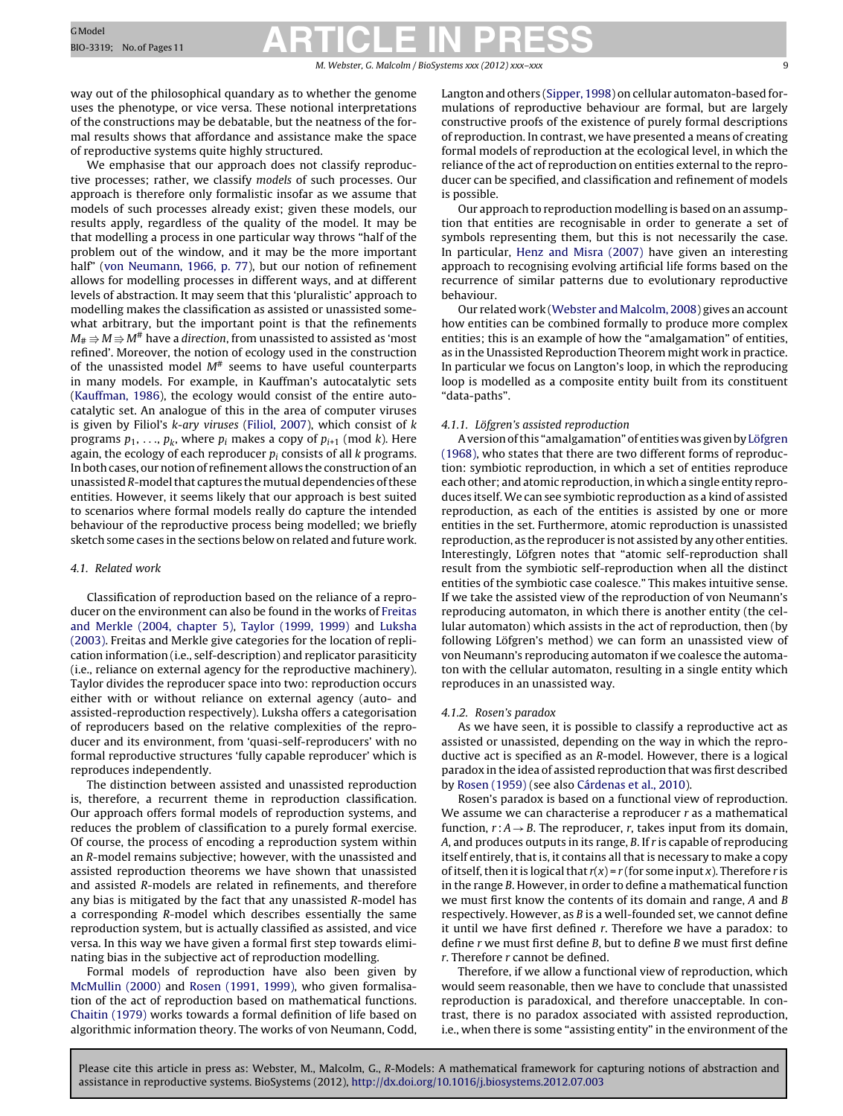#### M. Webster, G. Malcolm / BioSystems *xxx (2012) xxx–xxx* 9

way out of the philosophical quandary as to whether the genome uses the phenotype, or vice versa. These notional interpretations of the constructions may be debatable, but the neatness of the formal results shows that affordance and assistance make the space of reproductive systems quite highly structured.

We emphasise that our approach does not classify reproductive processes; rather, we classify models of such processes. Our approach is therefore only formalistic insofar as we assume that models of such processes already exist; given these models, our results apply, regardless of the quality of the model. It may be that modelling a process in one particular way throws "half of the problem out of the window, and it may be the more important half" [\(von](#page-10-0) [Neumann,](#page-10-0) [1966,](#page-10-0) [p.](#page-10-0) [77\),](#page-10-0) but our notion of refinement allows for modelling processes in different ways, and at different levels of abstraction. It may seem that this 'pluralistic' approach to modelling makes the classification as assisted or unassisted somewhat arbitrary, but the important point is that the refinements  $M_\#$   $\Rrightarrow$   $M^\#$  have a direction, from unassisted to assisted as 'most refined'. Moreover, the notion of ecology used in the construction of the unassisted model  $M^{\#}$  seems to have useful counterparts in many models. For example, in Kauffman's autocatalytic sets ([Kauffman,](#page-10-0) [1986\),](#page-10-0) the ecology would consist of the entire autocatalytic set. An analogue of this in the area of computer viruses is given by Filiol's k-ary viruses [\(Filiol,](#page-10-0) [2007\),](#page-10-0) which consist of k programs  $p_1, \ldots, p_k$ , where  $p_i$  makes a copy of  $p_{i+1}$  (mod k). Here again, the ecology of each reproducer  $p_i$  consists of all  $k$  programs. In both cases, our notion of refinement allows the construction of an unassisted R-model that captures the mutual dependencies of these entities. However, it seems likely that our approach is best suited to scenarios where formal models really do capture the intended behaviour of the reproductive process being modelled; we briefly sketch some cases in the sections below on related and future work.

#### 4.1. Related work

Classification of reproduction based on the reliance of a reproducer on the environment can also be found in the works of [Freitas](#page-10-0) [and](#page-10-0) [Merkle](#page-10-0) [\(2004,](#page-10-0) [chapter](#page-10-0) [5\),](#page-10-0) [Taylor](#page-10-0) [\(1999,](#page-10-0) [1999\)](#page-10-0) and [Luksha](#page-10-0) [\(2003\).](#page-10-0) Freitas and Merkle give categories for the location of replication information (i.e., self-description) and replicator parasiticity (i.e., reliance on external agency for the reproductive machinery). Taylor divides the reproducer space into two: reproduction occurs either with or without reliance on external agency (auto- and assisted-reproduction respectively). Luksha offers a categorisation of reproducers based on the relative complexities of the reproducer and its environment, from 'quasi-self-reproducers' with no formal reproductive structures 'fully capable reproducer' which is reproduces independently.

The distinction between assisted and unassisted reproduction is, therefore, a recurrent theme in reproduction classification. Our approach offers formal models of reproduction systems, and reduces the problem of classification to a purely formal exercise. Of course, the process of encoding a reproduction system within an R-model remains subjective; however, with the unassisted and assisted reproduction theorems we have shown that unassisted and assisted R-models are related in refinements, and therefore any bias is mitigated by the fact that any unassisted R-model has a corresponding R-model which describes essentially the same reproduction system, but is actually classified as assisted, and vice versa. In this way we have given a formal first step towards eliminating bias in the subjective act of reproduction modelling.

Formal models of reproduction have also been given by [McMullin](#page-10-0) [\(2000\)](#page-10-0) and [Rosen](#page-10-0) [\(1991,](#page-10-0) [1999\),](#page-10-0) who given formalisation of the act of reproduction based on mathematical functions. [Chaitin](#page-10-0) [\(1979\)](#page-10-0) works towards a formal definition of life based on algorithmic information theory. The works of von Neumann, Codd,

Langton and others ([Sipper,](#page-10-0) [1998\)](#page-10-0) on cellular automaton-based formulations of reproductive behaviour are formal, but are largely constructive proofs of the existence of purely formal descriptions of reproduction. In contrast, we have presented a means of creating formal models of reproduction at the ecological level, in which the reliance of the act of reproduction on entities external to the reproducer can be specified, and classification and refinement of models is possible.

Our approach to reproduction modelling is based on an assumption that entities are recognisable in order to generate a set of symbols representing them, but this is not necessarily the case. In particular, [Henz](#page-10-0) [and](#page-10-0) [Misra](#page-10-0) [\(2007\)](#page-10-0) have given an interesting approach to recognising evolving artificial life forms based on the recurrence of similar patterns due to evolutionary reproductive behaviour.

Our related work [\(Webster](#page-10-0) [and](#page-10-0) [Malcolm,](#page-10-0) [2008\)](#page-10-0) gives an account how entities can be combined formally to produce more complex entities; this is an example of how the "amalgamation" of entities, as in the Unassisted Reproduction Theorem might work in practice. In particular we focus on Langton's loop, in which the reproducing loop is modelled as a composite entity built from its constituent "data-paths".

#### 4.1.1. Löfgren's assisted reproduction

A version of this "amalgamation" of entities was given by [Löfgren](#page-10-0) [\(1968\),](#page-10-0) who states that there are two different forms of reproduction: symbiotic reproduction, in which a set of entities reproduce each other; and atomic reproduction, in which a single entity reproduces itself.We can see symbiotic reproduction as a kind of assisted reproduction, as each of the entities is assisted by one or more entities in the set. Furthermore, atomic reproduction is unassisted reproduction, as the reproducer is not assisted by any other entities. Interestingly, Löfgren notes that "atomic self-reproduction shall result from the symbiotic self-reproduction when all the distinct entities of the symbiotic case coalesce." This makes intuitive sense. If we take the assisted view of the reproduction of von Neumann's reproducing automaton, in which there is another entity (the cellular automaton) which assists in the act of reproduction, then (by following Löfgren's method) we can form an unassisted view of von Neumann's reproducing automaton if we coalesce the automaton with the cellular automaton, resulting in a single entity which reproduces in an unassisted way.

#### 4.1.2. Rosen's paradox

As we have seen, it is possible to classify a reproductive act as assisted or unassisted, depending on the way in which the reproductive act is specified as an R-model. However, there is a logical paradox in the idea of assisted reproduction that was first described by [Rosen](#page-10-0) [\(1959\)](#page-10-0) (see also [Cárdenas](#page-10-0) et [al.,](#page-10-0) [2010\).](#page-10-0)

Rosen's paradox is based on a functional view of reproduction. We assume we can characterise a reproducer r as a mathematical function,  $r : A \rightarrow B$ . The reproducer, r, takes input from its domain, A, and produces outputs in its range, B. If r is capable of reproducing itself entirely, that is, it contains all that is necessary to make a copy of itself, then it is logical that  $r(x) = r$  (for some input x). Therefore r is in the range B. However, in order to define a mathematical function we must first know the contents of its domain and range, A and B respectively. However, as B is a well-founded set, we cannot define it until we have first defined r. Therefore we have a paradox: to define r we must first define B, but to define B we must first define r. Therefore r cannot be defined.

Therefore, if we allow a functional view of reproduction, which would seem reasonable, then we have to conclude that unassisted reproduction is paradoxical, and therefore unacceptable. In contrast, there is no paradox associated with assisted reproduction, i.e., when there is some "assisting entity" in the environment of the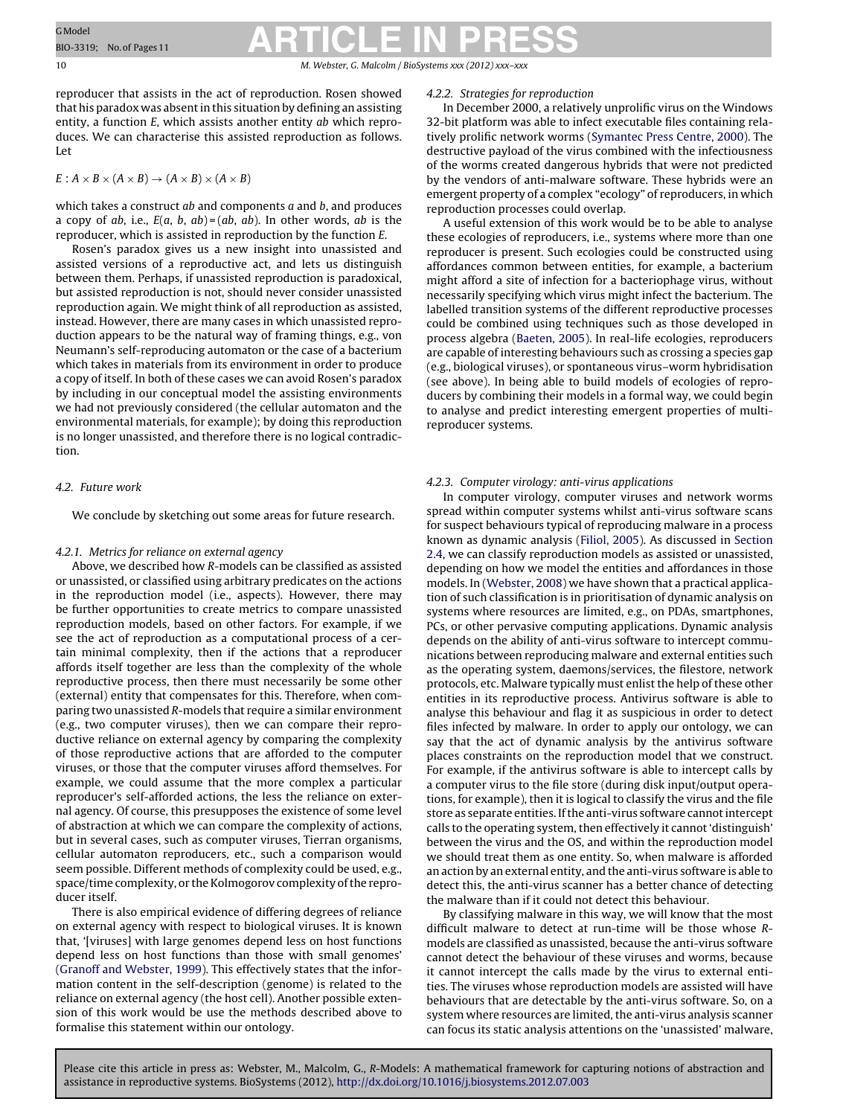10 M. Webster, G. Malcolm / BioSystems *xxx (2012) xxx–xxx*

reproducer that assists in the act of reproduction. Rosen showed that his paradox was absentin this situation by defining an assisting entity, a function E, which assists another entity ab which reproduces. We can characterise this assisted reproduction as follows. Let

$$
E: A \times B \times (A \times B) \to (A \times B) \times (A \times B)
$$

which takes a construct  $ab$  and components  $a$  and  $b$ , and produces a copy of ab, i.e.,  $E(a, b, ab) = (ab, ab)$ . In other words, ab is the reproducer, which is assisted in reproduction by the function E.

Rosen's paradox gives us a new insight into unassisted and assisted versions of a reproductive act, and lets us distinguish between them. Perhaps, if unassisted reproduction is paradoxical, but assisted reproduction is not, should never consider unassisted reproduction again. We might think of all reproduction as assisted, instead. However, there are many cases in which unassisted reproduction appears to be the natural way of framing things, e.g., von Neumann's self-reproducing automaton or the case of a bacterium which takes in materials from its environment in order to produce a copy of itself. In both of these cases we can avoid Rosen's paradox by including in our conceptual model the assisting environments we had not previously considered (the cellular automaton and the environmental materials, for example); by doing this reproduction is no longer unassisted, and therefore there is no logical contradiction.

### 4.2. Future work

We conclude by sketching out some areas for future research.

### 4.2.1. Metrics for reliance on external agency

Above, we described how R-models can be classified as assisted or unassisted, or classified using arbitrary predicates on the actions in the reproduction model (i.e., aspects). However, there may be further opportunities to create metrics to compare unassisted reproduction models, based on other factors. For example, if we see the act of reproduction as a computational process of a certain minimal complexity, then if the actions that a reproducer affords itself together are less than the complexity of the whole reproductive process, then there must necessarily be some other (external) entity that compensates for this. Therefore, when comparing two unassisted R-models that require a similar environment (e.g., two computer viruses), then we can compare their reproductive reliance on external agency by comparing the complexity of those reproductive actions that are afforded to the computer viruses, or those that the computer viruses afford themselves. For example, we could assume that the more complex a particular reproducer's self-afforded actions, the less the reliance on external agency. Of course, this presupposes the existence of some level of abstraction at which we can compare the complexity of actions, but in several cases, such as computer viruses, Tierran organisms, cellular automaton reproducers, etc., such a comparison would seem possible. Different methods of complexity could be used, e.g., space/time complexity, or the Kolmogorov complexity of the reproducer itself.

There is also empirical evidence of differing degrees of reliance on external agency with respect to biological viruses. It is known that, '[viruses] with large genomes depend less on host functions depend less on host functions than those with small genomes' ([Granoff](#page-10-0) [and](#page-10-0) [Webster,](#page-10-0) [1999\).](#page-10-0) This effectively states that the information content in the self-description (genome) is related to the reliance on external agency (the host cell). Another possible extension of this work would be use the methods described above to formalise this statement within our ontology.

#### 4.2.2. Strategies for reproduction

In December 2000, a relatively unprolific virus on the Windows 32-bit platform was able to infect executable files containing relatively prolific network worms [\(Symantec](#page-10-0) [Press](#page-10-0) [Centre,](#page-10-0) [2000\).](#page-10-0) The destructive payload of the virus combined with the infectiousness of the worms created dangerous hybrids that were not predicted by the vendors of anti-malware software. These hybrids were an emergent property of a complex "ecology" of reproducers, in which reproduction processes could overlap.

A useful extension of this work would be to be able to analyse these ecologies of reproducers, i.e., systems where more than one reproducer is present. Such ecologies could be constructed using affordances common between entities, for example, a bacterium might afford a site of infection for a bacteriophage virus, without necessarily specifying which virus might infect the bacterium. The labelled transition systems of the different reproductive processes could be combined using techniques such as those developed in process algebra ([Baeten,](#page-10-0) [2005\).](#page-10-0) In real-life ecologies, reproducers are capable of interesting behaviours such as crossing a species gap (e.g., biological viruses), or spontaneous virus–worm hybridisation (see above). In being able to build models of ecologies of reproducers by combining their models in a formal way, we could begin to analyse and predict interesting emergent properties of multireproducer systems.

#### 4.2.3. Computer virology: anti-virus applications

In computer virology, computer viruses and network worms spread within computer systems whilst anti-virus software scans for suspect behaviours typical of reproducing malware in a process known as dynamic analysis [\(Filiol,](#page-10-0) [2005\).](#page-10-0) As discussed in [Section](#page-2-0) [2.4,](#page-2-0) we can classify reproduction models as assisted or unassisted, depending on how we model the entities and affordances in those models. In [\(Webster,](#page-10-0) [2008\)](#page-10-0) we have shown that a practical application of such classification is in prioritisation of dynamic analysis on systems where resources are limited, e.g., on PDAs, smartphones, PCs, or other pervasive computing applications. Dynamic analysis depends on the ability of anti-virus software to intercept communications between reproducing malware and external entities such as the operating system, daemons/services, the filestore, network protocols, etc. Malware typically must enlist the help of these other entities in its reproductive process. Antivirus software is able to analyse this behaviour and flag it as suspicious in order to detect files infected by malware. In order to apply our ontology, we can say that the act of dynamic analysis by the antivirus software places constraints on the reproduction model that we construct. For example, if the antivirus software is able to intercept calls by a computer virus to the file store (during disk input/output operations, for example), then it is logical to classify the virus and the file store as separate entities. If the anti-virus software cannot intercept calls to the operating system, then effectively it cannot 'distinguish' between the virus and the OS, and within the reproduction model we should treat them as one entity. So, when malware is afforded an action by an external entity, and the anti-virus software is able to detect this, the anti-virus scanner has a better chance of detecting the malware than if it could not detect this behaviour.

By classifying malware in this way, we will know that the most difficult malware to detect at run-time will be those whose Rmodels are classified as unassisted, because the anti-virus software cannot detect the behaviour of these viruses and worms, because it cannot intercept the calls made by the virus to external entities. The viruses whose reproduction models are assisted will have behaviours that are detectable by the anti-virus software. So, on a system where resources are limited, the anti-virus analysis scanner can focus its static analysis attentions on the 'unassisted' malware,